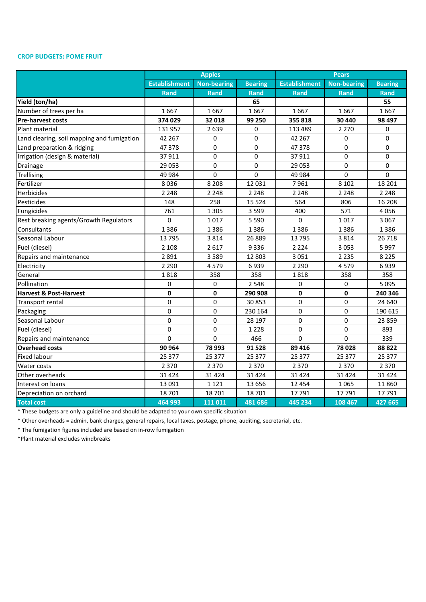## **CROP BUDGETS: POME FRUIT**

|                                            |                      | <b>Apples</b>      |                | <b>Pears</b>         |                    |                |
|--------------------------------------------|----------------------|--------------------|----------------|----------------------|--------------------|----------------|
|                                            | <b>Establishment</b> | <b>Non-bearing</b> | <b>Bearing</b> | <b>Establishment</b> | <b>Non-bearing</b> | <b>Bearing</b> |
|                                            | <b>Rand</b>          | <b>Rand</b>        | Rand           | <b>Rand</b>          | <b>Rand</b>        | <b>Rand</b>    |
| Yield (ton/ha)                             |                      |                    | 65             |                      |                    | 55             |
| Number of trees per ha                     | 1667                 | 1667               | 1667           | 1667                 | 1667               | 1667           |
| <b>Pre-harvest costs</b>                   | 374 029              | 32 018             | 99 250         | 355 818              | 30 440             | 98 497         |
| Plant material                             | 131 957              | 2639               | 0              | 113 489              | 2 2 7 0            | 0              |
| Land clearing, soil mapping and fumigation | 42 267               | 0                  | 0              | 42 2 67              | 0                  | $\Omega$       |
| Land preparation & ridging                 | 47378                | 0                  | 0              | 47378                | 0                  | 0              |
| Irrigation (design & material)             | 37911                | 0                  | 0              | 37911                | 0                  | 0              |
| Drainage                                   | 29 053               | 0                  | 0              | 29 0 53              | 0                  | $\Omega$       |
| Trellising                                 | 49 984               | $\Omega$           | $\Omega$       | 49 9 84              | $\Omega$           | $\Omega$       |
| Fertilizer                                 | 8036                 | 8 2 0 8            | 12 031         | 7961                 | 8 1 0 2            | 18 201         |
| Herbicides                                 | 2 2 4 8              | 2 2 4 8            | 2 2 4 8        | 2 2 4 8              | 2 2 4 8            | 2 2 4 8        |
| Pesticides                                 | 148                  | 258                | 15 5 24        | 564                  | 806                | 16 208         |
| Fungicides                                 | 761                  | 1 3 0 5            | 3599           | 400                  | 571                | 4056           |
| Rest breaking agents/Growth Regulators     | 0                    | 1017               | 5 5 9 0        | $\Omega$             | 1017               | 3 0 6 7        |
| Consultants                                | 1386                 | 1386               | 1386           | 1386                 | 1386               | 1386           |
| Seasonal Labour                            | 13795                | 3814               | 26 889         | 13795                | 3814               | 26 718         |
| Fuel (diesel)                              | 2 1 0 8              | 2617               | 9336           | 2 2 2 4              | 3053               | 5997           |
| Repairs and maintenance                    | 2891                 | 3589               | 12 803         | 3051                 | 2 2 3 5            | 8 2 2 5        |
| Electricity                                | 2 2 9 0              | 4579               | 6939           | 2 2 9 0              | 4579               | 6939           |
| General                                    | 1818                 | 358                | 358            | 1818                 | 358                | 358            |
| Pollination                                | 0                    | 0                  | 2548           | 0                    | 0                  | 5 0 9 5        |
| <b>Harvest &amp; Post-Harvest</b>          | $\mathbf 0$          | $\mathbf{0}$       | 290 908        | 0                    | $\mathbf{0}$       | 240 346        |
| <b>Transport rental</b>                    | $\mathbf 0$          | 0                  | 30 853         | 0                    | 0                  | 24 640         |
| Packaging                                  | 0                    | 0                  | 230 164        | 0                    | 0                  | 190 615        |
| Seasonal Labour                            | $\Omega$             | $\Omega$           | 28 197         | 0                    | $\Omega$           | 23 859         |
| Fuel (diesel)                              | $\Omega$             | $\Omega$           | 1 2 2 8        | 0                    | $\Omega$           | 893            |
| Repairs and maintenance                    | 0                    | 0                  | 466            | 0                    | $\Omega$           | 339            |
| <b>Overhead costs</b>                      | 90 964               | 78 993             | 91 5 28        | 89 416               | 78028              | 88 822         |
| <b>Fixed labour</b>                        | 25 377               | 25 377             | 25 377         | 25 377               | 25 377             | 25 377         |
| Water costs                                | 2 3 7 0              | 2 3 7 0            | 2 3 7 0        | 2 3 7 0              | 2 3 7 0            | 2 3 7 0        |
| Other overheads                            | 31 4 24              | 31 4 24            | 31 4 24        | 31 4 24              | 31 4 24            | 31 4 24        |
| Interest on loans                          | 13 091               | 1 1 2 1            | 13 656         | 12 4 5 4             | 1065               | 11 860         |
| Depreciation on orchard                    | 18 701               | 18 701             | 18 701         | 17791                | 17791              | 17791          |
| <b>Total cost</b>                          | 464 993              | 111 011            | 481 686        | 445 234              | 108 467            | 427 665        |

\* These budgets are only a guideline and should be adapted to your own specific situation

\* Other overheads = admin, bank charges, general repairs, local taxes, postage, phone, auditing, secretarial, etc.

\* The fumigation figures included are based on in-row fumigation

\*Plant material excludes windbreaks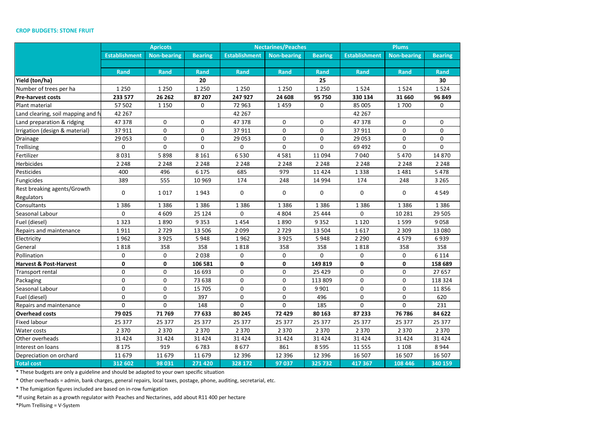## **CROP BUDGETS: STONE FRUIT**

|                                    |                      | <b>Apricots</b>    |                |                      | <b>Nectarines/Peaches</b> |                | <b>Plums</b>         |                    |                |
|------------------------------------|----------------------|--------------------|----------------|----------------------|---------------------------|----------------|----------------------|--------------------|----------------|
|                                    | <b>Establishment</b> | <b>Non-bearing</b> | <b>Bearing</b> | <b>Establishment</b> | <b>Non-bearing</b>        | <b>Bearing</b> | <b>Establishment</b> | <b>Non-bearing</b> | <b>Bearing</b> |
|                                    |                      |                    |                |                      |                           |                |                      |                    |                |
|                                    | <b>Rand</b>          | Rand               | <b>Rand</b>    | Rand                 | <b>Rand</b>               | <b>Rand</b>    | Rand                 | <b>Rand</b>        | <b>Rand</b>    |
| Yield (ton/ha)                     |                      |                    | 20             |                      |                           | 25             |                      |                    | 30             |
| Number of trees per ha             | 1 2 5 0              | 1 2 5 0            | 1 2 5 0        | 1 2 5 0              | 1 2 5 0                   | 1 2 5 0        | 1524                 | 1524               | 1524           |
| <b>Pre-harvest costs</b>           | 233 577              | 26 26 2            | 87 207         | 247 927              | 24 608                    | 95 750         | 330 134              | 31 660             | 96 849         |
| Plant material                     | 57 502               | 1 1 5 0            | 0              | 72 963               | 1459                      | 0              | 85 005               | 1700               | 0              |
| Land clearing, soil mapping and fu | 42 267               |                    |                | 42 267               |                           |                | 42 267               |                    |                |
| Land preparation & ridging         | 47 378               | $\mathbf 0$        | 0              | 47 378               | 0                         | 0              | 47 378               | $\mathbf 0$        | $\mathbf 0$    |
| Irrigation (design & material)     | 37 911               | $\Omega$           | 0              | 37 911               | 0                         | 0              | 37 911               | $\mathbf 0$        | $\Omega$       |
| Drainage                           | 29 053               | $\mathbf 0$        | 0              | 29 053               | $\mathbf 0$               | 0              | 29 053               | $\mathbf 0$        | 0              |
| Trellising                         | 0                    | $\mathbf 0$        | 0              | $\mathsf 0$          | $\mathbf 0$               | 0              | 69 492               | $\mathbf 0$        | 0              |
| Fertilizer                         | 8 0 3 1              | 5898               | 8 1 6 1        | 6530                 | 4581                      | 11 0 94        | 7040                 | 5 4 7 0            | 14 870         |
| Herbicides                         | 2 2 4 8              | 2 2 4 8            | 2 2 4 8        | 2 2 4 8              | 2 2 4 8                   | 2 2 4 8        | 2 2 4 8              | 2 2 4 8            | 2 2 4 8        |
| Pesticides                         | 400                  | 496                | 6 1 7 5        | 685                  | 979                       | 11 4 24        | 1338                 | 1481               | 5 4 7 8        |
| Fungicides                         | 389                  | 555                | 10 969         | 174                  | 248                       | 14 9 94        | 174                  | 248                | 3 2 6 5        |
| Rest breaking agents/Growth        | 0                    | 1017               | 1943           | $\mathbf 0$          | 0                         | 0              | 0                    | $\mathbf 0$        | 4549           |
| Regulators                         |                      |                    |                |                      |                           |                |                      |                    |                |
| Consultants                        | 1 3 8 6              | 1386               | 1 3 8 6        | 1386                 | 1 3 8 6                   | 1 3 8 6        | 1 3 8 6              | 1 3 8 6            | 1 3 8 6        |
| Seasonal Labour                    | 0                    | 4 6 0 9            | 25 1 24        | $\Omega$             | 4 8 0 4                   | 25 4 44        | 0                    | 10 2 8 1           | 29 5 05        |
| Fuel (diesel)                      | 1 3 2 3              | 1890               | 9 3 5 3        | 1454                 | 1890                      | 9352           | 1 1 2 0              | 1599               | 9058           |
| Repairs and maintenance            | 1911                 | 2729               | 13 506         | 2099                 | 2729                      | 13 504         | 1617                 | 2 3 0 9            | 13 080         |
| Electricity                        | 1962                 | 3925               | 5948           | 1962                 | 3 9 2 5                   | 5948           | 2 2 9 0              | 4579               | 6939           |
| General                            | 1818                 | 358                | 358            | 1818                 | 358                       | 358            | 1818                 | 358                | 358            |
| Pollination                        | 0                    | 0                  | 2038           | 0                    | 0                         | 0              | 0                    | 0                  | 6 1 1 4        |
| <b>Harvest &amp; Post-Harvest</b>  | $\mathbf 0$          | $\mathbf 0$        | 106 581        | 0                    | 0                         | 149 819        | 0                    | $\mathbf 0$        | 158 689        |
| Transport rental                   | $\mathbf 0$          | $\mathbf 0$        | 16 693         | 0                    | $\mathbf 0$               | 25 4 29        | 0                    | $\mathbf 0$        | 27 657         |
| Packaging                          | 0                    | $\mathbf 0$        | 73 638         | $\mathbf 0$          | $\mathbf 0$               | 113 809        | $\mathbf 0$          | $\mathbf 0$        | 118 324        |
| Seasonal Labour                    | 0                    | $\mathbf 0$        | 15 705         | 0                    | 0                         | 9 9 0 1        | $\mathbf 0$          | 0                  | 11856          |
| Fuel (diesel)                      | $\mathbf 0$          | $\Omega$           | 397            | $\mathbf 0$          | $\Omega$                  | 496            | $\mathbf 0$          | $\mathbf 0$        | 620            |
| Repairs and maintenance            | 0                    | 0                  | 148            | $\mathbf 0$          | 0                         | 185            | 0                    | $\Omega$           | 231            |
| <b>Overhead costs</b>              | 79 025               | 71 769             | 77 633         | 80 245               | 72 429                    | 80 163         | 87 233               | 76 786             | 84 622         |
| <b>Fixed labour</b>                | 25 377               | 25 377             | 25 377         | 25 377               | 25 377                    | 25 377         | 25 377               | 25 377             | 25 377         |
| Water costs                        | 2 3 7 0              | 2 3 7 0            | 2 3 7 0        | 2 3 7 0              | 2 3 7 0                   | 2 3 7 0        | 2 3 7 0              | 2 3 7 0            | 2 3 7 0        |
| Other overheads                    | 31 4 24              | 31 4 24            | 31 4 24        | 31 4 24              | 31 4 24                   | 31 4 24        | 31 4 24              | 31 4 24            | 31 4 24        |
| Interest on loans                  | 8 1 7 5              | 919                | 6783           | 8677                 | 861                       | 8 5 9 5        | 11 555               | 1 1 0 8            | 8944           |
| Depreciation on orchard            | 11 679               | 11 679             | 11 679         | 12 3 9 6             | 12 3 9 6                  | 12 3 9 6       | 16 507               | 16 507             | 16 507         |
| <b>Total cost</b>                  | 312 602              | 98 031             | 271 420        | 328 172              | 97 037                    | 325 732        | 417 367              | 108 446            | 340 159        |

\* These budgets are only a guideline and should be adapted to your own specific situation

\* Other overheads = admin, bank charges, general repairs, local taxes, postage, phone, auditing, secretarial, etc.

\* The fumigation figures included are based on in-row fumigation

\*If using Retain as a growth regulator with Peaches and Nectarines, add about R11 400 per hectare

\*Plum Trellising = V-System